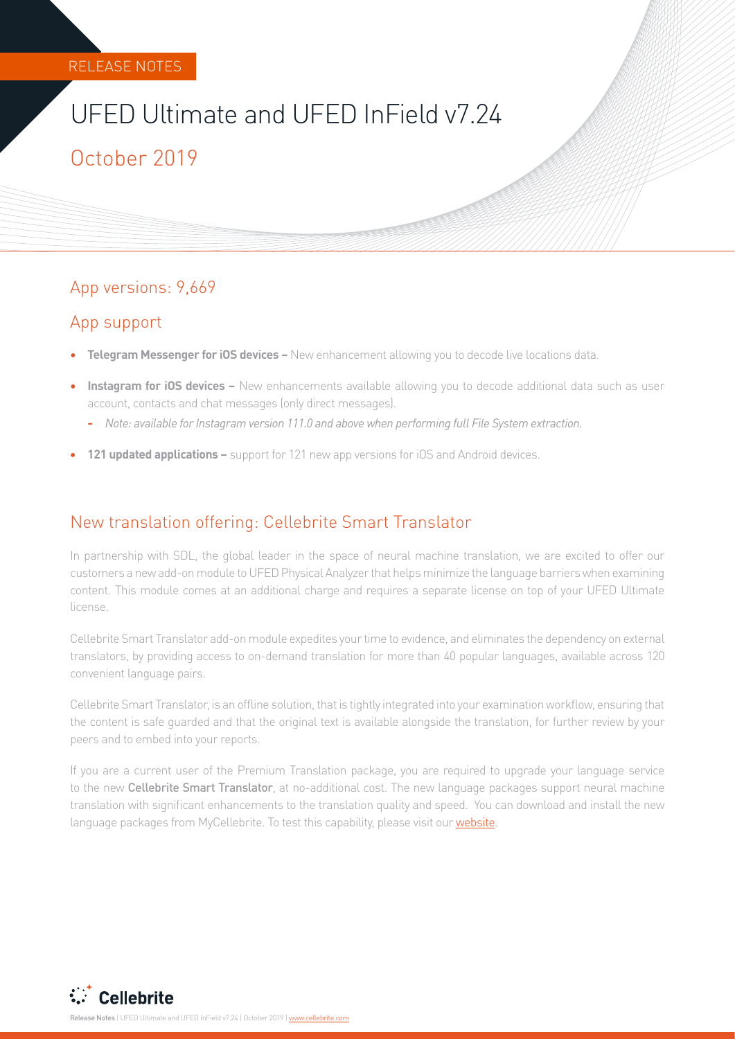# UFED Ultimate and UFED InField v7.24

## October 2019

#### App versions: 9,669

#### App support

- **• Telegram Messenger for iOS devices** New enhancement allowing you to decode live locations data.
- **• Instagram for iOS devices –** New enhancements available allowing you to decode additional data such as user account, contacts and chat messages (only direct messages).
	- **-** *Note: available for Instagram version 111.0 and above when performing full File System extraction.*
- **• 121 updated applications –** support for 121 new app versions for iOS and Android devices.

#### New translation offering: Cellebrite Smart Translator

In partnership with SDL, the global leader in the space of neural machine translation, we are excited to offer our customers a new add-on module to UFED Physical Analyzer that helps minimize the language barriers when examining content. This module comes at an additional charge and requires a separate license on top of your UFED Ultimate license.

Cellebrite Smart Translator add-on module expedites your time to evidence, and eliminates the dependency on external translators, by providing access to on-demand translation for more than 40 popular languages, available across 120 convenient language pairs.

Cellebrite Smart Translator, is an offline solution, that is tightly integrated into your examination workflow, ensuring that the content is safe guarded and that the original text is available alongside the translation, for further review by your peers and to embed into your reports.

If you are a current user of the Premium Translation package, you are required to upgrade your language service to the new Cellebrite Smart Translator, at no-additional cost. The new language packages support neural machine translation with significant enhancements to the translation quality and speed. You can download and install the new language packages from MyCellebrite. To test this capability, please visit our [website.](https://www.cellebrite.com/en/smart-translator-module/)

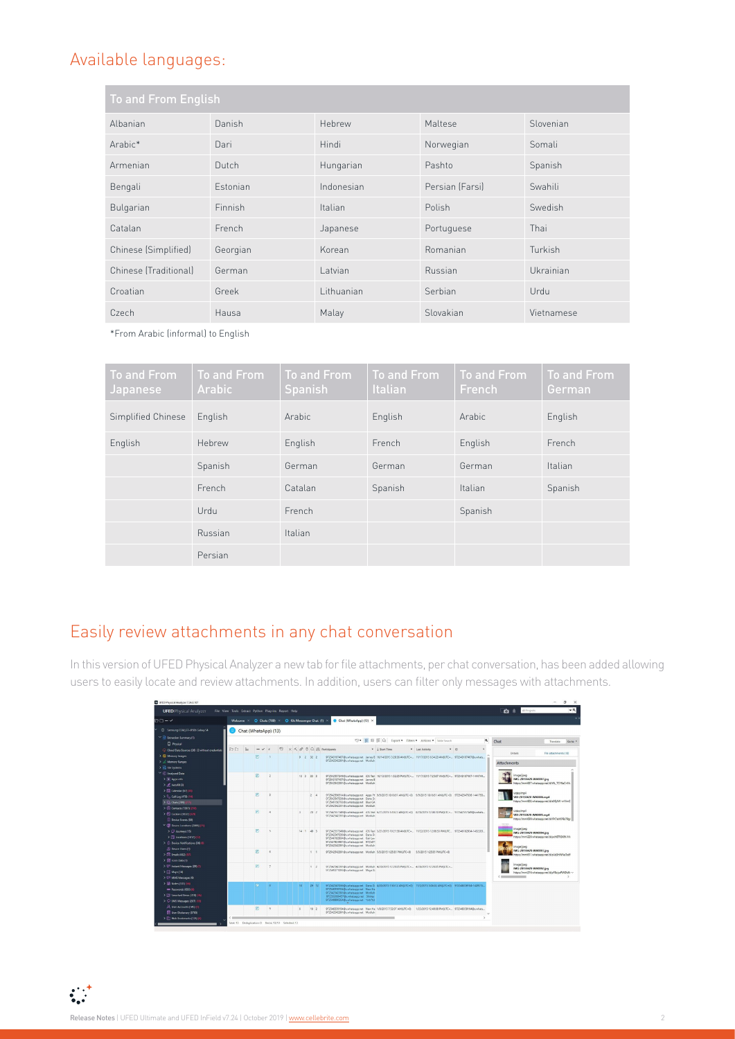#### Available languages:

| <b>To and From English</b> |                 |            |                 |            |
|----------------------------|-----------------|------------|-----------------|------------|
| Albanian                   | Danish          | Hebrew     | Maltese         | Slovenian  |
| Arabic*                    | Dari            | Hindi      | Norwegian       | Somali     |
| Armenian                   | Dutch           | Hungarian  | Pashto          | Spanish    |
| Bengali                    | <b>Estonian</b> | Indonesian | Persian (Farsi) | Swahili    |
| Bulgarian                  | Finnish         | Italian    | Polish          | Swedish    |
| Catalan                    | French          | Japanese   | Portuguese      | Thai       |
| Chinese (Simplified)       | Georgian        | Korean     | Romanian        | Turkish    |
| Chinese (Traditional)      | German          | Latvian    | Russian         | Ukrainian  |
| Croatian                   | Greek           | Lithuanian | Serbian         | Urdu       |
| Czech                      | Hausa           | Malay      | Slovakian       | Vietnamese |

\*From Arabic (informal) to English

| To and From<br>Japanese | <b>To and From</b><br>Arabic | To and From<br><b>Spanish</b> | To and From<br>Italian | <b>To and From</b><br><b>French</b> | <b>To and From</b><br>German |
|-------------------------|------------------------------|-------------------------------|------------------------|-------------------------------------|------------------------------|
| Simplified Chinese      | English                      | Arabic                        | English                | Arabic                              | English                      |
| English                 | Hebrew                       | English                       | French                 | English                             | French                       |
|                         | Spanish                      | German                        | German                 | German                              | Italian                      |
|                         | French                       | Catalan                       | Spanish                | Italian                             | Spanish                      |
|                         | Urdu                         | French                        |                        | Spanish                             |                              |
|                         | Russian                      | Italian                       |                        |                                     |                              |
|                         | Persian                      |                               |                        |                                     |                              |

## Easily review attachments in any chat conversation

In this version of UFED Physical Analyzer a new tab for file attachments, per chat conversation, has been added allowing users to easily locate and review attachments. In addition, users can filter only messages with attachments.

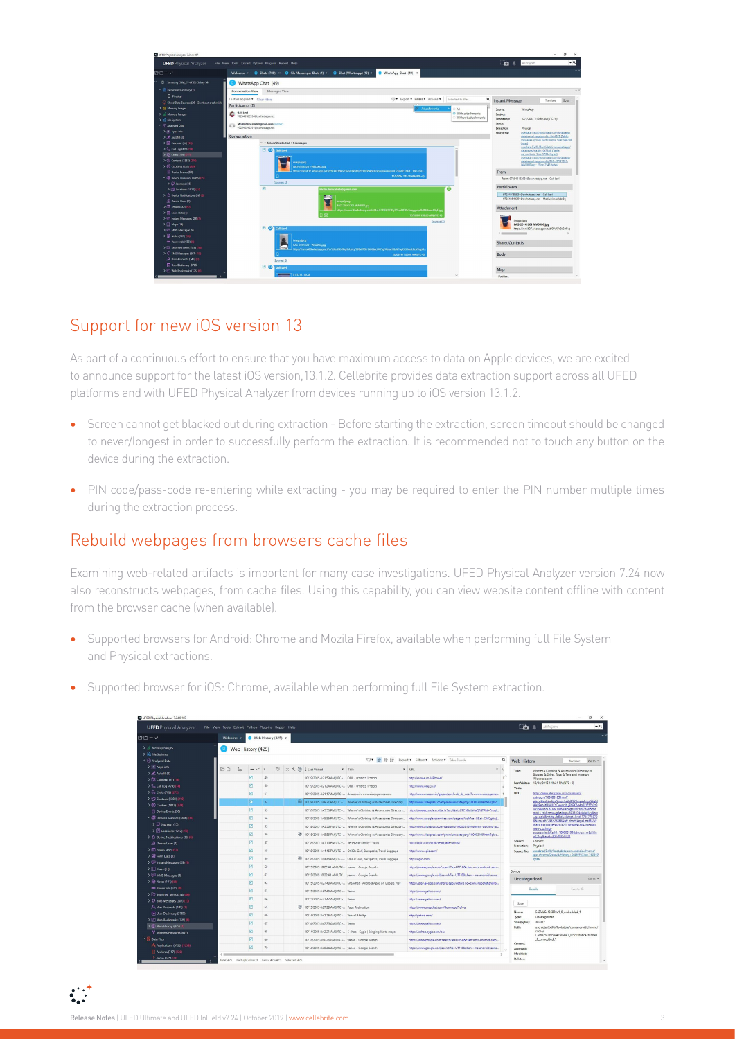

### Support for new iOS version 13

As part of a continuous effort to ensure that you have maximum access to data on Apple devices, we are excited to announce support for the latest iOS version,13.1.2. Cellebrite provides data extraction support across all UFED platforms and with UFED Physical Analyzer from devices running up to iOS version 13.1.2.

- **•** Screen cannot get blacked out during extraction Before starting the extraction, screen timeout should be changed to never/longest in order to successfully perform the extraction. It is recommended not to touch any button on the device during the extraction.
- **•** PIN code/pass-code re-entering while extracting you may be required to enter the PIN number multiple times during the extraction process.

#### Rebuild webpages from browsers cache files

Examining web-related artifacts is important for many case investigations. UFED Physical Analyzer version 7.24 now also reconstructs webpages, from cache files. Using this capability, you can view website content offline with content from the browser cache (when available).

- **•** Supported browsers for Android: Chrome and Mozila Firefox, available when performing full File System and Physical extractions.
- **•** Supported browser for iOS: Chrome, available when performing full File System extraction.

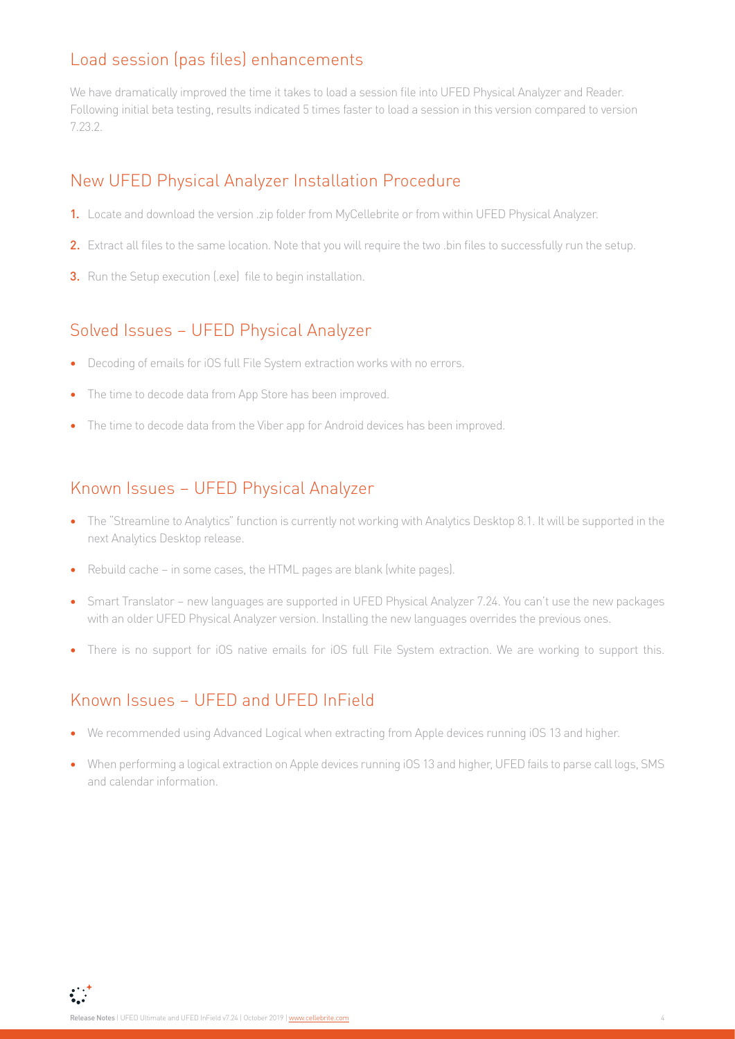#### Load session (pas files) enhancements

We have dramatically improved the time it takes to load a session file into UFED Physical Analyzer and Reader. Following initial beta testing, results indicated 5 times faster to load a session in this version compared to version 7.23.2.

#### New UFED Physical Analyzer Installation Procedure

- 1. Locate and download the version .zip folder from MyCellebrite or from within UFED Physical Analyzer.
- 2. Extract all files to the same location. Note that you will require the two .bin files to successfully run the setup.
- **3.** Run the Setup execution (lexe) file to begin installation.

## Solved Issues – UFED Physical Analyzer

- **•** Decoding of emails for iOS full File System extraction works with no errors.
- **•** The time to decode data from App Store has been improved.
- The time to decode data from the Viber app for Android devices has been improved.

#### Known Issues – UFED Physical Analyzer

- **•** The "Streamline to Analytics" function is currently not working with Analytics Desktop 8.1. It will be supported in the next Analytics Desktop release.
- **•** Rebuild cache in some cases, the HTML pages are blank (white pages).
- **•** Smart Translator new languages are supported in UFED Physical Analyzer 7.24. You can't use the new packages with an older UFED Physical Analyzer version. Installing the new languages overrides the previous ones.
- **•** There is no support for iOS native emails for iOS full File System extraction. We are working to support this.

### Known Issues – UFED and UFED InField

- **•** We recommended using Advanced Logical when extracting from Apple devices running iOS 13 and higher.
- **•** When performing a logical extraction on Apple devices running iOS 13 and higher, UFED fails to parse call logs, SMS and calendar information.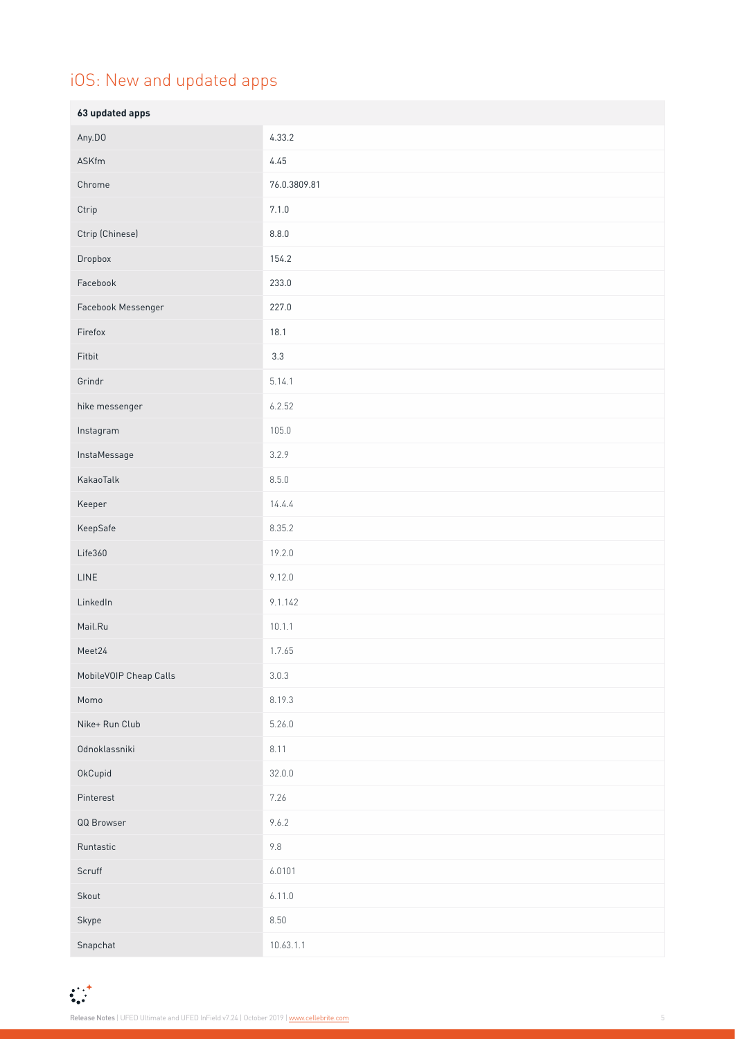# iOS: New and updated apps

| 63 updated apps        |              |
|------------------------|--------------|
| Any.DO                 | 4.33.2       |
| ASKfm                  | 4.45         |
| Chrome                 | 76.0.3809.81 |
| Ctrip                  | 7.1.0        |
| Ctrip (Chinese)        | 8.8.0        |
| Dropbox                | 154.2        |
| Facebook               | 233.0        |
| Facebook Messenger     | 227.0        |
| Firefox                | 18.1         |
| Fitbit                 | $3.3\,$      |
| Grindr                 | 5.14.1       |
| hike messenger         | 6.2.52       |
| Instagram              | 105.0        |
| InstaMessage           | 3.2.9        |
| KakaoTalk              | 8.5.0        |
| Keeper                 | 14.4.4       |
| KeepSafe               | 8.35.2       |
| Life360                | 19.2.0       |
| LINE                   | 9.12.0       |
| LinkedIn               | 9.1.142      |
| Mail.Ru                | 10.1.1       |
| Meet24                 | 1.7.65       |
| MobileVOIP Cheap Calls | 3.0.3        |
| Momo                   | 8.19.3       |
| Nike+ Run Club         | 5.26.0       |
| Odnoklassniki          | 8.11         |
| OkCupid                | 32.0.0       |
| Pinterest              | 7.26         |
| QQ Browser             | 9.6.2        |
| Runtastic              | $9.8\,$      |
| Scruff                 | 6.0101       |
| Skout                  | 6.11.0       |
| Skype                  | 8.50         |
| Snapchat               | 10.63.1.1    |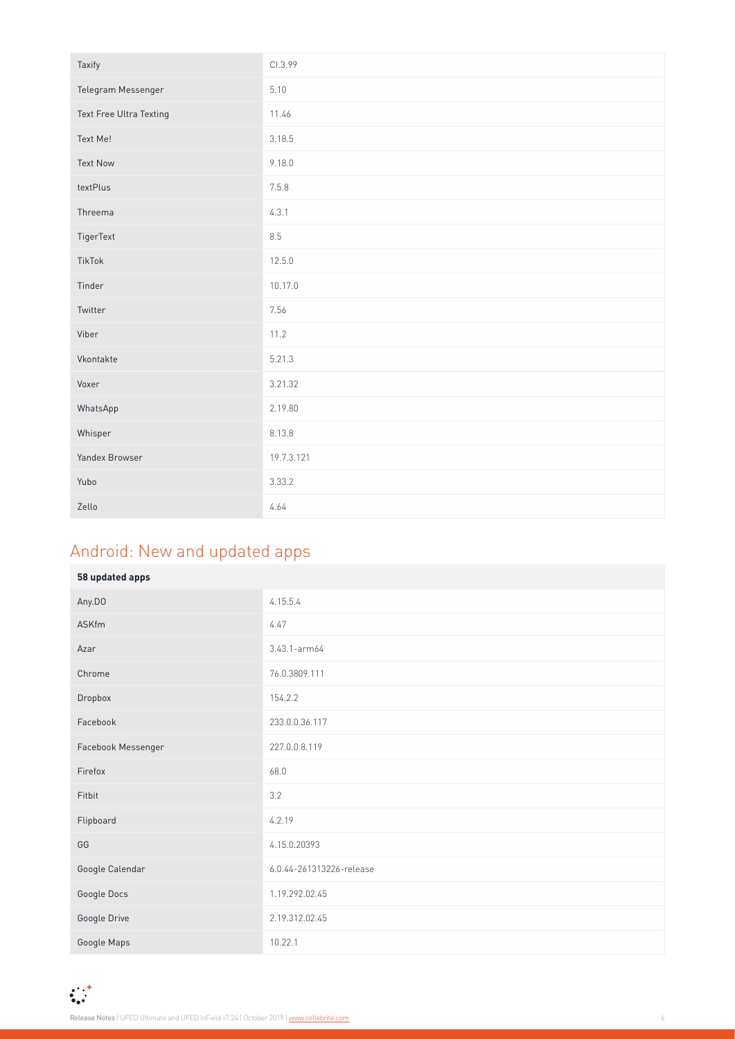| Taxify                  | CI.3.99    |
|-------------------------|------------|
| Telegram Messenger      | 5.10       |
| Text Free Ultra Texting | 11.46      |
| Text Me!                | 3.18.5     |
| <b>Text Now</b>         | 9.18.0     |
| textPlus                | 7.5.8      |
| Threema                 | 4.3.1      |
| TigerText               | 8.5        |
| TikTok                  | 12.5.0     |
| Tinder                  | 10.17.0    |
| Twitter                 | 7.56       |
| Viber                   | 11.2       |
| Vkontakte               | 5.21.3     |
| Voxer                   | 3.21.32    |
| WhatsApp                | 2.19.80    |
| Whisper                 | 8.13.8     |
| Yandex Browser          | 19.7.3.121 |
| Yubo                    | 3.33.2     |
| Zello                   | 4.64       |

# Android: New and updated apps

| 58 updated apps    |                          |
|--------------------|--------------------------|
| Any.DO             | 4.15.5.4                 |
| ASKfm              | 4.47                     |
| Azar               | 3.43.1-arm64             |
| Chrome             | 76.0.3809.111            |
| Dropbox            | 154.2.2                  |
| Facebook           | 233.0.0.36.117           |
| Facebook Messenger | 227.0.0.8.119            |
| Firefox            | 68.0                     |
| Fitbit             | 3.2                      |
| Flipboard          | 4.2.19                   |
| GG                 | 4.15.0.20393             |
| Google Calendar    | 6.0.44-261313226-release |
| Google Docs        | 1.19.292.02.45           |
| Google Drive       | 2.19.312.02.45           |
| Google Maps        | 10.22.1                  |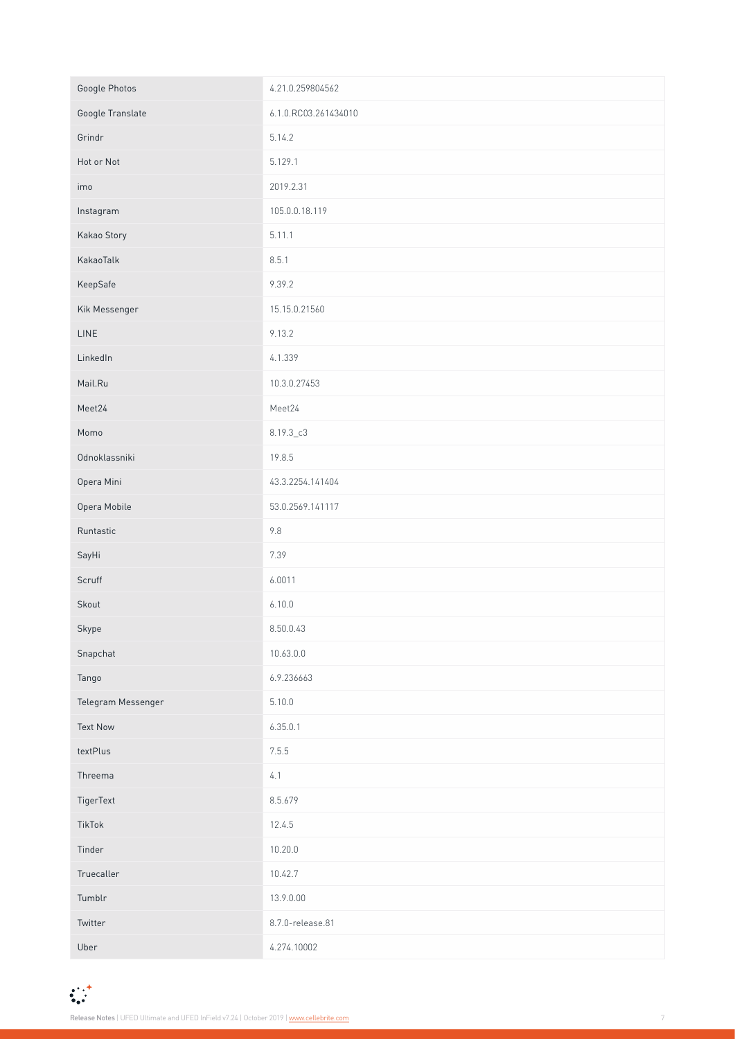| Google Photos      | 4.21.0.259804562     |  |
|--------------------|----------------------|--|
| Google Translate   | 6.1.0.RC03.261434010 |  |
| Grindr             | 5.14.2               |  |
| Hot or Not         | 5.129.1              |  |
| imo                | 2019.2.31            |  |
| Instagram          | 105.0.0.18.119       |  |
| Kakao Story        | 5.11.1               |  |
| KakaoTalk          | 8.5.1                |  |
| KeepSafe           | 9.39.2               |  |
| Kik Messenger      | 15.15.0.21560        |  |
| LINE               | 9.13.2               |  |
| LinkedIn           | 4.1.339              |  |
| Mail.Ru            | 10.3.0.27453         |  |
| Meet24             | Meet24               |  |
| Momo               | $8.19.3\_c3$         |  |
| Odnoklassniki      | 19.8.5               |  |
| Opera Mini         | 43.3.2254.141404     |  |
| Opera Mobile       | 53.0.2569.141117     |  |
| Runtastic          | 9.8                  |  |
| SayHi              | 7.39                 |  |
| Scruff             | 6.0011               |  |
| Skout              | 6.10.0               |  |
| Skype              | 8.50.0.43            |  |
| Snapchat           | 10.63.0.0            |  |
| Tango              | 6.9.236663           |  |
| Telegram Messenger | 5.10.0               |  |
| <b>Text Now</b>    | 6.35.0.1             |  |
| textPlus           | 7.5.5                |  |
| Threema            | 4.1                  |  |
| TigerText          | 8.5.679              |  |
| TikTok             | 12.4.5               |  |
| Tinder             | 10.20.0              |  |
| Truecaller         | 10.42.7              |  |
| Tumblr             | 13.9.0.00            |  |
| Twitter            | 8.7.0-release.81     |  |
| Uber               | 4.274.10002          |  |